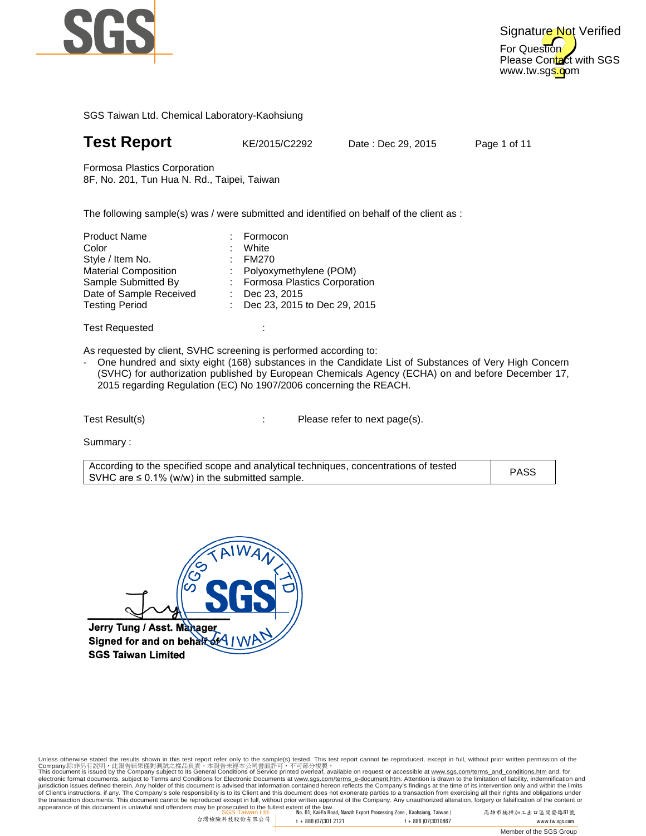

## **Test Report** KE/2015/C2292

Date: Dec 29, 2015

Page 1 of 11

Formosa Plastics Corporation 8F, No. 201, Tun Hua N. Rd., Taipei, Taiwan

8F, No. 201, Tun Hua N. Rd., Taipei, Taiwan<br>The following sample(s) was / were submitted and identified on behalf of the client as :

:

| : Formosa Plastics Corporation |
|--------------------------------|
|                                |
| : Dec 23, 2015 to Dec 29, 2015 |
|                                |

Test Requested

As requested by client, SVHC screening is performed according to:

- One hundred and sixty eight (168) substances in the Candidate List of Substances of Very High Concern (SVHC) for authorization published by European Chemicals Agency (ECHA) on and before December 17, 2015 regarding Regulation (EC) No 1907/2006 concerning the REACH.<br>st Result(s) Please refer to next page(s).

Test Result(s)

Summary :

| According to the specified scope and analytical techniques, concentrations of tested<br>I SVHC are ≤ 0.1% (w/w) in the submitted sample. | <b>PASS</b> |
|------------------------------------------------------------------------------------------------------------------------------------------|-------------|
|                                                                                                                                          |             |

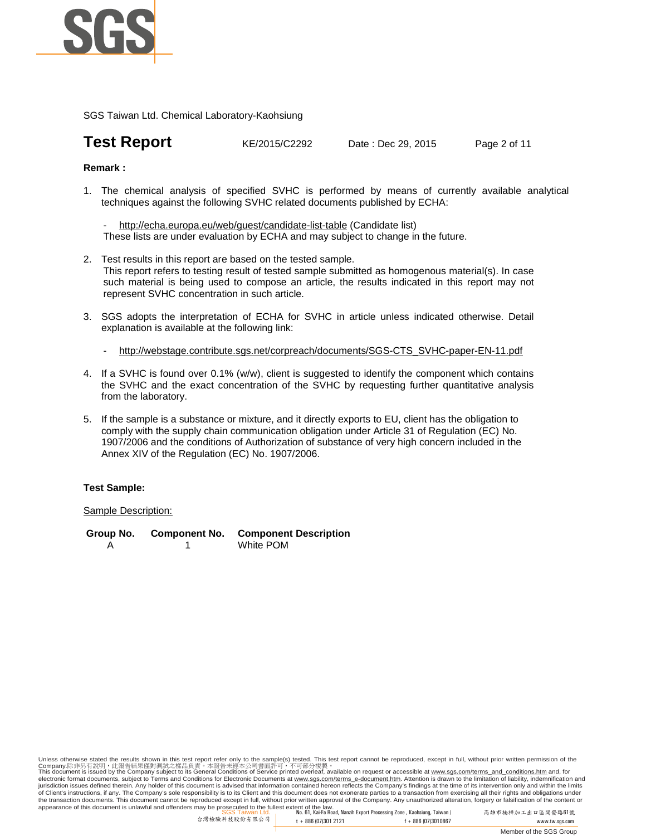

## **Test Report** KE/2015/C2292 Date : Dec 29, 2015 Page 2 of 11

#### **Remark :**

1. The chemical analysis of specified SVHC is performed by means of currently available analytical techniques against the following SVHC related documents published by ECHA:

http://echa.europa.eu/web/guest/candidate-list-table (Candidate list) These lists are under evaluation by ECHA and may subject to change in the future.

- 2. Test results in this report are based on the tested sample. This report refers to testing result of tested sample submitted as homogenous material(s). In case such material is being used to compose an article, the results indicated in this report may not represent SVHC concentration in such article.
- 3. SGS adopts the interpretation of ECHA for SVHC in article unless indicated otherwise. Detail explanation is available at the following link:
	- http://webstage.contribute.sgs.net/corpreach/documents/SGS-CTS\_SVHC-paper-EN-11.pdf
- 4. If a SVHC is found over 0.1% (w/w), client is suggested to identify the component which contains the SVHC and the exact concentration of the SVHC by requesting further quantitative analysis from the laboratory.
- 5. If the sample is a substance or mixture, and it directly exports to EU, client has the obligation to comply with the supply chain communication obligation under Article 31 of Regulation (EC) No. 1907/2006 and the conditions of Authorization of substance of very high concern included in the Annex XIV of the Regulation (EC) No. 1907/2006.

#### **Test Sample:**

#### Sample Description:

**Group No. Component No. Component Description** A 1 White POM

appearance of this document is unlawful and offenders may be prosecuted to the fullest extent of the law.<br>SGS Taiwan Ltd. , No. 61, Kai-Fa Road, Nanzih Export Processing Zone , Kaohsiung, Taiwan / 高雄市 Unless otherwise stated the results shown in this test report refer only to the sample(s) tested. This test report cannot be reproduced, except in full, without prior written permission of the<br>Company.陈非另有說明,此報告結果懂對測試之樣品貢 jurisdiction issues defined therein. Any holder of this document is advised that information contained hereon reflects the Company's findings at the time of its intervention only and within the limits of Client's instructions, if any. The Company's sole responsibility is to its Client and this document does not exonerate parties to a transaction from exercising all their rights and obligations under<br>the transaction docu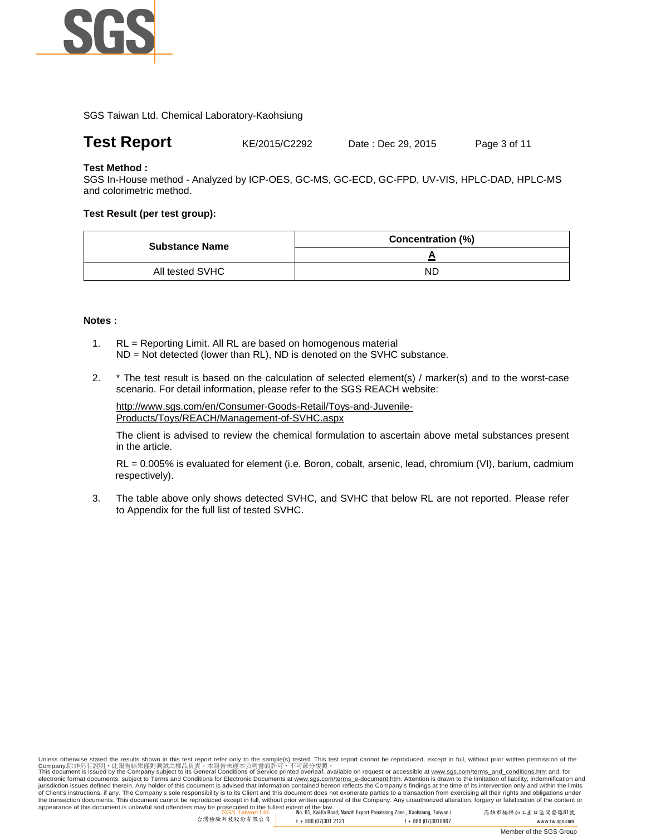

### **Test Report** KE/2015/C2292 Date : Dec 29, 2015 Page 3 of 11

#### **Test Method :**

SGS In-House method - Analyzed by ICP-OES, GC-MS, GC-ECD, GC-FPD, UV-VIS, HPLC-DAD, HPLC-MS and colorimetric method.

#### **Test Result (per test group):**

| <b>Substance Name</b> | <b>Concentration (%)</b> |
|-----------------------|--------------------------|
|                       |                          |
| All tested SVHC       | ND                       |

#### **Notes :**

- 1. RL = Reporting Limit. All RL are based on homogenous material ND = Not detected (lower than RL), ND is denoted on the SVHC substance.
- 2. \* The test result is based on the calculation of selected element(s) / marker(s) and to the worst-case scenario. For detail information, please refer to the SGS REACH website:

http://www.sgs.com/en/Consumer-Goods-Retail/Toys-and-Juvenile-Products/Toys/REACH/Management-of-SVHC.aspx

The client is advised to review the chemical formulation to ascertain above metal substances present in the article.

RL = 0.005% is evaluated for element (i.e. Boron, cobalt, arsenic, lead, chromium (VI), barium, cadmium respectively).

3. The table above only shows detected SVHC, and SVHC that below RL are not reported. Please refer to Appendix for the full list of tested SVHC.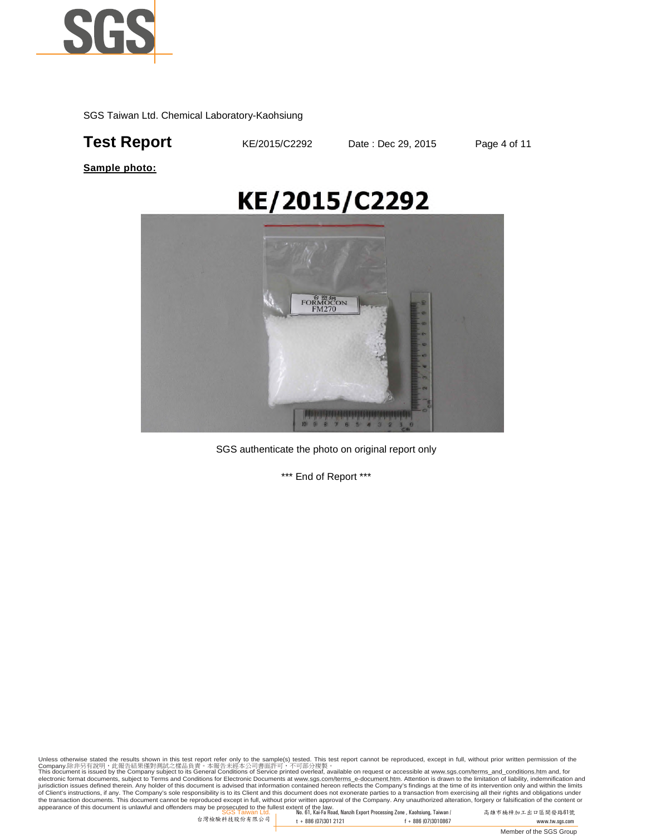

## **Test Report KE/2015/C2292** Date : Dec 29, 2015 Page 4 of 11

**Sample photo:**

# KE/2015/C2292



SGS authenticate the photo on original report only

\*\*\* End of Report \*\*\*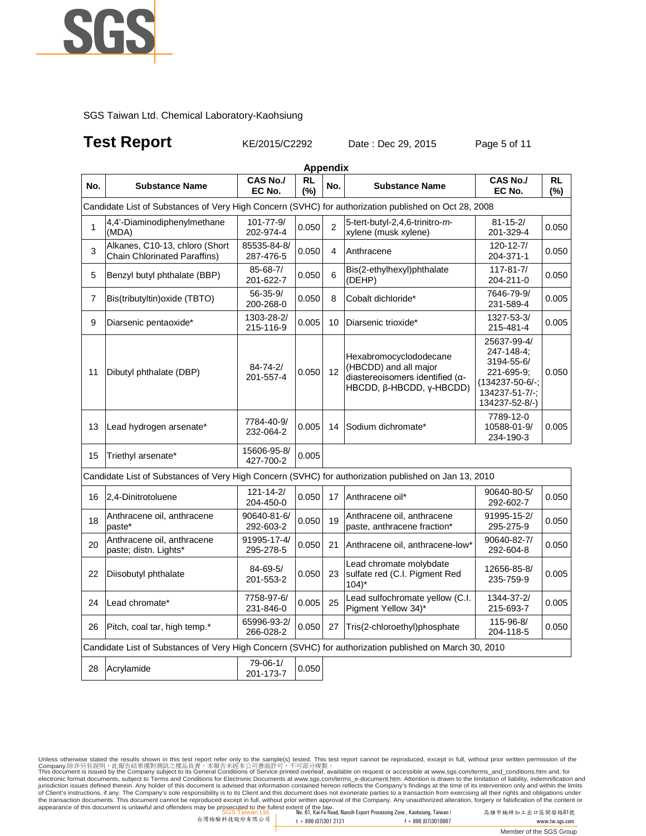

## **Test Report KE/2015/C2292** Date : Dec 29, 2015 Page 5 of 11

|              |                                                                                                        |                              | <b>Appendix</b>     |                         |                                                                                                                         |                                                                                                              |                  |
|--------------|--------------------------------------------------------------------------------------------------------|------------------------------|---------------------|-------------------------|-------------------------------------------------------------------------------------------------------------------------|--------------------------------------------------------------------------------------------------------------|------------------|
| No.          | <b>Substance Name</b>                                                                                  | <b>CAS No./</b><br>EC No.    | <b>RL</b><br>$(\%)$ | No.                     | <b>Substance Name</b>                                                                                                   | <b>CAS No./</b><br>EC No.                                                                                    | <b>RL</b><br>(%) |
|              | Candidate List of Substances of Very High Concern (SVHC) for authorization published on Oct 28, 2008   |                              |                     |                         |                                                                                                                         |                                                                                                              |                  |
| $\mathbf{1}$ | 4,4'-Diaminodiphenylmethane<br>(MDA)                                                                   | 101-77-9/<br>202-974-4       | 0.050               | $\overline{2}$          | 5-tert-butyl-2,4,6-trinitro-m-<br>xylene (musk xylene)                                                                  | $81 - 15 - 2/$<br>201-329-4                                                                                  | 0.050            |
| 3            | Alkanes, C10-13, chloro (Short<br><b>Chain Chlorinated Paraffins)</b>                                  | 85535-84-8/<br>287-476-5     | 0.050               | $\overline{\mathbf{4}}$ | Anthracene                                                                                                              | $120 - 12 - 7/$<br>204-371-1                                                                                 | 0.050            |
| 5            | Benzyl butyl phthalate (BBP)                                                                           | 85-68-7/<br>201-622-7        | 0.050               | 6                       | Bis(2-ethylhexyl)phthalate<br>(DEHP)                                                                                    | $117 - 81 - 7/$<br>204-211-0                                                                                 | 0.050            |
| 7            | Bis(tributyltin) oxide (TBTO)                                                                          | $56 - 35 - 9/$<br>200-268-0  | 0.050               | 8                       | Cobalt dichloride*                                                                                                      | 7646-79-9/<br>231-589-4                                                                                      | 0.005            |
| 9            | Diarsenic pentaoxide*                                                                                  | 1303-28-2/<br>215-116-9      | 0.005               | 10                      | Diarsenic trioxide*                                                                                                     | 1327-53-3/<br>215-481-4                                                                                      | 0.005            |
| 11           | Dibutyl phthalate (DBP)                                                                                | 84-74-2/<br>201-557-4        | 0.050               | 12                      | Hexabromocyclododecane<br>(HBCDD) and all major<br>diastereoisomers identified ( $\alpha$ -<br>HBCDD, β-HBCDD, γ-HBCDD) | 25637-99-4/<br>247-148-4;<br>3194-55-6/<br>221-695-9;<br>(134237-50-6/-;<br>134237-51-7/-;<br>134237-52-8/-) | 0.050            |
| 13           | Lead hydrogen arsenate*                                                                                | 7784-40-9/<br>232-064-2      | 0.005               | 14                      | Sodium dichromate*                                                                                                      | 7789-12-0<br>10588-01-9/<br>234-190-3                                                                        | 0.005            |
| 15           | Triethyl arsenate*                                                                                     | 15606-95-8/<br>427-700-2     | 0.005               |                         |                                                                                                                         |                                                                                                              |                  |
|              | Candidate List of Substances of Very High Concern (SVHC) for authorization published on Jan 13, 2010   |                              |                     |                         |                                                                                                                         |                                                                                                              |                  |
| 16           | 2,4-Dinitrotoluene                                                                                     | $121 - 14 - 2/$<br>204-450-0 | 0.050               | 17                      | Anthracene oil*                                                                                                         | 90640-80-5/<br>292-602-7                                                                                     | 0.050            |
| 18           | Anthracene oil, anthracene<br>paste*                                                                   | 90640-81-6/<br>292-603-2     | 0.050               | 19                      | Anthracene oil, anthracene<br>paste, anthracene fraction*                                                               | 91995-15-2/<br>295-275-9                                                                                     | 0.050            |
| 20           | Anthracene oil, anthracene<br>paste; distn. Lights*                                                    | 91995-17-4/<br>295-278-5     | 0.050               | 21                      | Anthracene oil, anthracene-low*                                                                                         | 90640-82-7/<br>292-604-8                                                                                     | 0.050            |
| 22           | Diisobutyl phthalate                                                                                   | 84-69-5/<br>201-553-2        | 0.050               | 23                      | Lead chromate molybdate<br>sulfate red (C.I. Pigment Red<br>$104$ <sup>*</sup>                                          | 12656-85-8/<br>235-759-9                                                                                     | 0.005            |
| 24           | Lead chromate*                                                                                         | 7758-97-6/<br>231-846-0      | 0.005               | 25                      | Lead sulfochromate yellow (C.I.<br>Pigment Yellow 34)*                                                                  | 1344-37-2/<br>215-693-7                                                                                      | 0.005            |
| 26           | Pitch, coal tar, high temp.*                                                                           | 65996-93-2/<br>266-028-2     | 0.050               | 27                      | Tris(2-chloroethyl)phosphate                                                                                            | 115-96-8/<br>204-118-5                                                                                       | 0.050            |
|              | Candidate List of Substances of Very High Concern (SVHC) for authorization published on March 30, 2010 |                              |                     |                         |                                                                                                                         |                                                                                                              |                  |
| 28           | Acrylamide                                                                                             | 79-06-1/<br>201-173-7        | 0.050               |                         |                                                                                                                         |                                                                                                              |                  |
|              |                                                                                                        |                              |                     |                         |                                                                                                                         |                                                                                                              |                  |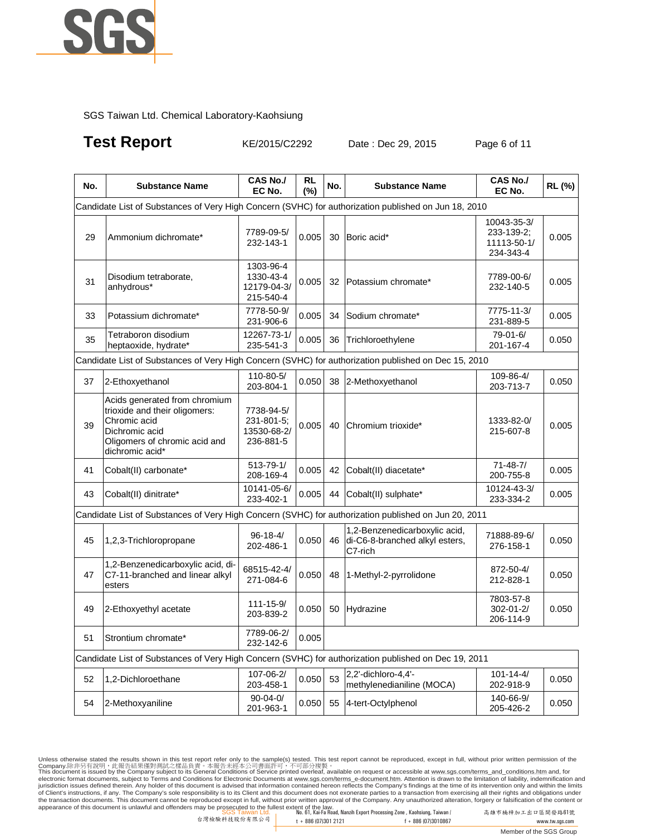

**Test Report KE/2015/C2292** Date : Dec 29, 2015 Page 6 of 11

| No. | <b>Substance Name</b>                                                                                                                                | CAS No./<br>EC No.                                   | <b>RL</b><br>(%) | No. | <b>Substance Name</b>                                                      | <b>CAS No./</b><br>EC No.                             | RL (%) |
|-----|------------------------------------------------------------------------------------------------------------------------------------------------------|------------------------------------------------------|------------------|-----|----------------------------------------------------------------------------|-------------------------------------------------------|--------|
|     | Candidate List of Substances of Very High Concern (SVHC) for authorization published on Jun 18, 2010                                                 |                                                      |                  |     |                                                                            |                                                       |        |
| 29  | Ammonium dichromate*                                                                                                                                 | 7789-09-5/<br>232-143-1                              | 0.005            | 30  | Boric acid*                                                                | 10043-35-3/<br>233-139-2:<br>11113-50-1/<br>234-343-4 | 0.005  |
| 31  | Disodium tetraborate,<br>anhydrous*                                                                                                                  | 1303-96-4<br>1330-43-4<br>12179-04-3/<br>215-540-4   | 0.005            | 32  | Potassium chromate*                                                        | 7789-00-6/<br>232-140-5                               | 0.005  |
| 33  | Potassium dichromate*                                                                                                                                | 7778-50-9/<br>231-906-6                              | 0.005            | 34  | Sodium chromate*                                                           | 7775-11-3/<br>231-889-5                               | 0.005  |
| 35  | Tetraboron disodium<br>heptaoxide, hydrate*                                                                                                          | 12267-73-1/<br>235-541-3                             | 0.005            | 36  | Trichloroethylene                                                          | 79-01-6/<br>201-167-4                                 | 0.050  |
|     | Candidate List of Substances of Very High Concern (SVHC) for authorization published on Dec 15, 2010                                                 |                                                      |                  |     |                                                                            |                                                       |        |
| 37  | 2-Ethoxyethanol                                                                                                                                      | 110-80-5/<br>203-804-1                               | 0.050            | 38  | 2-Methoxyethanol                                                           | 109-86-4/<br>203-713-7                                | 0.050  |
| 39  | Acids generated from chromium<br>trioxide and their oligomers:<br>Chromic acid<br>Dichromic acid<br>Oligomers of chromic acid and<br>dichromic acid* | 7738-94-5/<br>231-801-5;<br>13530-68-2/<br>236-881-5 | 0.005            | 40  | Chromium trioxide*                                                         | 1333-82-0/<br>215-607-8                               | 0.005  |
| 41  | Cobalt(II) carbonate*                                                                                                                                | 513-79-1/<br>208-169-4                               | 0.005            | 42  | Cobalt(II) diacetate*                                                      | $71 - 48 - 7/$<br>200-755-8                           | 0.005  |
| 43  | Cobalt(II) dinitrate*                                                                                                                                | 10141-05-6/<br>233-402-1                             | 0.005            | 44  | Cobalt(II) sulphate*                                                       | 10124-43-3/<br>233-334-2                              | 0.005  |
|     | Candidate List of Substances of Very High Concern (SVHC) for authorization published on Jun 20, 2011                                                 |                                                      |                  |     |                                                                            |                                                       |        |
| 45  | 1,2,3-Trichloropropane                                                                                                                               | $96 - 18 - 4/$<br>202-486-1                          | 0.050            | 46  | 1,2-Benzenedicarboxylic acid,<br>di-C6-8-branched alkyl esters,<br>C7-rich | 71888-89-6/<br>276-158-1                              | 0.050  |
| 47  | 1,2-Benzenedicarboxylic acid, di-<br>C7-11-branched and linear alkyl<br>esters                                                                       | 68515-42-4/<br>271-084-6                             | 0.050            | 48  | 1-Methyl-2-pyrrolidone                                                     | 872-50-4/<br>212-828-1                                | 0.050  |
| 49  | 2-Ethoxyethyl acetate                                                                                                                                | $111 - 15 - 9/$<br>203-839-2                         | 0.050            | 50  | Hydrazine                                                                  | 7803-57-8<br>302-01-2/<br>206-114-9                   | 0.050  |
| 51  | Strontium chromate*                                                                                                                                  | 7789-06-2/<br>232-142-6                              | 0.005            |     |                                                                            |                                                       |        |
|     | Candidate List of Substances of Very High Concern (SVHC) for authorization published on Dec 19, 2011                                                 |                                                      |                  |     |                                                                            |                                                       |        |
| 52  | 1,2-Dichloroethane                                                                                                                                   | 107-06-2/<br>203-458-1                               | 0.050            | 53  | 2,2'-dichloro-4,4'-<br>methylenedianiline (MOCA)                           | $101 - 14 - 4/$<br>202-918-9                          | 0.050  |
| 54  | 2-Methoxyaniline                                                                                                                                     | $90 - 04 - 0$<br>201-963-1                           | 0.050            | 55  | 4-tert-Octylphenol                                                         | 140-66-9/<br>205-426-2                                | 0.050  |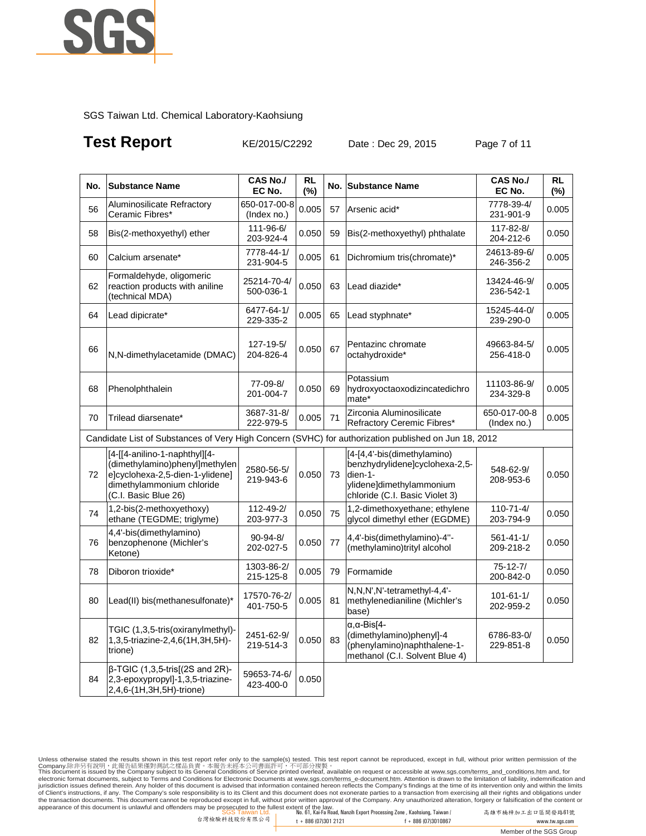

## **Test Report KE/2015/C2292** Date : Dec 29, 2015 Page 7 of 11

| No. | <b>Substance Name</b>                                                                                                                                   | <b>CAS No./</b><br>EC No.   | <b>RL</b><br>(%) | No. | <b>Substance Name</b>                                                                                                                  | CAS No./<br>EC No.           | <b>RL</b><br>(%) |
|-----|---------------------------------------------------------------------------------------------------------------------------------------------------------|-----------------------------|------------------|-----|----------------------------------------------------------------------------------------------------------------------------------------|------------------------------|------------------|
| 56  | Aluminosilicate Refractory<br>Ceramic Fibres*                                                                                                           | 650-017-00-8<br>(Index no.) | 0.005            | 57  | Arsenic acid*                                                                                                                          | 7778-39-4/<br>231-901-9      | 0.005            |
| 58  | Bis(2-methoxyethyl) ether                                                                                                                               | 111-96-6/<br>203-924-4      | 0.050            | 59  | Bis(2-methoxyethyl) phthalate                                                                                                          | 117-82-8/<br>204-212-6       | 0.050            |
| 60  | Calcium arsenate*                                                                                                                                       | 7778-44-1/<br>231-904-5     | 0.005            | 61  | Dichromium tris(chromate)*                                                                                                             | 24613-89-6/<br>246-356-2     | 0.005            |
| 62  | Formaldehyde, oligomeric<br>reaction products with aniline<br>(technical MDA)                                                                           | 25214-70-4/<br>500-036-1    | 0.050            | 63  | Lead diazide*                                                                                                                          | 13424-46-9/<br>236-542-1     | 0.005            |
| 64  | Lead dipicrate*                                                                                                                                         | 6477-64-1/<br>229-335-2     | 0.005            | 65  | Lead styphnate*                                                                                                                        | 15245-44-0/<br>239-290-0     | 0.005            |
| 66  | N,N-dimethylacetamide (DMAC)                                                                                                                            | 127-19-5/<br>204-826-4      | 0.050            | 67  | Pentazinc chromate<br>octahydroxide*                                                                                                   | 49663-84-5/<br>256-418-0     | 0.005            |
| 68  | Phenolphthalein                                                                                                                                         | 77-09-8/<br>201-004-7       | 0.050            | 69  | Potassium<br>hydroxyoctaoxodizincatedichro<br>mate*                                                                                    | 11103-86-9/<br>234-329-8     | 0.005            |
| 70  | Trilead diarsenate*                                                                                                                                     | 3687-31-8/<br>222-979-5     | 0.005            | 71  | Zirconia Aluminosilicate<br>Refractory Ceremic Fibres*                                                                                 | 650-017-00-8<br>(Index no.)  | 0.005            |
|     | Candidate List of Substances of Very High Concern (SVHC) for authorization published on Jun 18, 2012                                                    |                             |                  |     |                                                                                                                                        |                              |                  |
| 72  | [4-[[4-anilino-1-naphthyl][4-<br>(dimethylamino)phenyl]methylen<br>e]cyclohexa-2,5-dien-1-ylidene]<br>dimethylammonium chloride<br>(C.I. Basic Blue 26) | 2580-56-5/<br>219-943-6     | 0.050            | 73  | [4-[4,4'-bis(dimethylamino)<br>benzhydrylidene]cyclohexa-2,5-<br>dien-1-<br>ylidene]dimethylammonium<br>chloride (C.I. Basic Violet 3) | 548-62-9/<br>208-953-6       | 0.050            |
| 74  | 1,2-bis(2-methoxyethoxy)<br>ethane (TEGDME; triglyme)                                                                                                   | 112-49-2/<br>203-977-3      | 0.050            | 75  | 1,2-dimethoxyethane; ethylene<br>glycol dimethyl ether (EGDME)                                                                         | $110 - 71 - 4/$<br>203-794-9 | 0.050            |
| 76  | 4,4'-bis(dimethylamino)<br>benzophenone (Michler's<br>Ketone)                                                                                           | $90 - 94 - 8/$<br>202-027-5 | 0.050            | 77  | 4,4'-bis(dimethylamino)-4"-<br>(methylamino)trityl alcohol                                                                             | $561 - 41 - 1/$<br>209-218-2 | 0.050            |
| 78  | Diboron trioxide*                                                                                                                                       | 1303-86-2/<br>215-125-8     | 0.005            | 79  | Formamide                                                                                                                              | $75 - 12 - 7/$<br>200-842-0  | 0.050            |
| 80  | Lead(II) bis(methanesulfonate)*                                                                                                                         | 17570-76-2/<br>401-750-5    | 0.005            | 81  | N,N,N',N'-tetramethyl-4,4'-<br>methylenedianiline (Michler's<br>base)                                                                  | $101 - 61 - 1/$<br>202-959-2 | 0.050            |
| 82  | TGIC (1,3,5-tris(oxiranylmethyl)-<br>1,3,5-triazine-2,4,6(1H,3H,5H)-<br>trione)                                                                         | 2451-62-9/<br>219-514-3     | 0.050            | 83  | $\alpha$ , $\alpha$ -Bis[4-<br>(dimethylamino)phenyl]-4<br>(phenylamino)naphthalene-1-<br>methanol (C.I. Solvent Blue 4)               | 6786-83-0/<br>229-851-8      | 0.050            |
| 84  | $\beta$ -TGIC (1,3,5-tris[(2S and 2R)-<br>2,3-epoxypropyl]-1,3,5-triazine-<br>2,4,6-(1H,3H,5H)-trione)                                                  | 59653-74-6/<br>423-400-0    | 0.050            |     |                                                                                                                                        |                              |                  |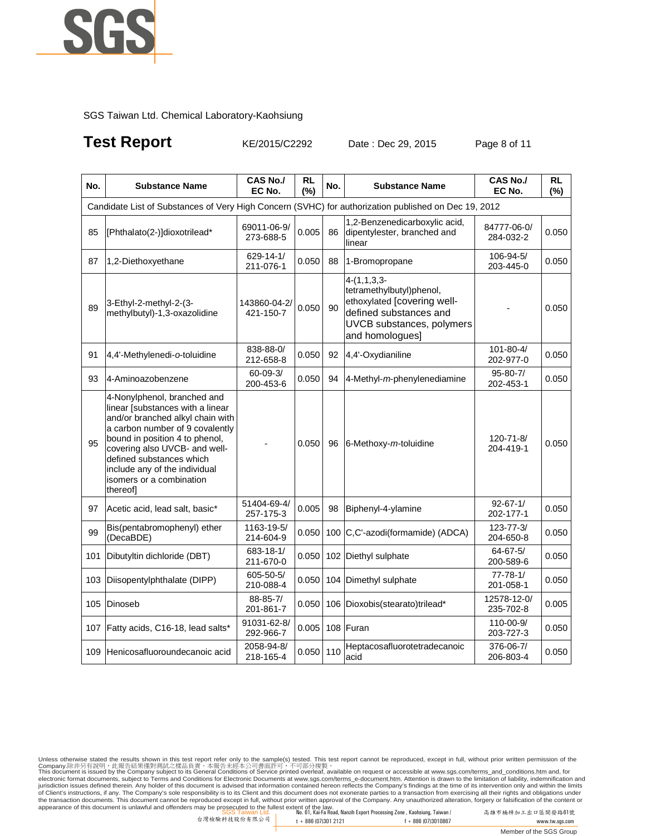

## **Test Report KE/2015/C2292** Date : Dec 29, 2015 Page 8 of 11

| No. | <b>Substance Name</b>                                                                                                                                                                                                                                                                                          | <b>CAS No./</b><br>EC No.   | RL<br>(%)   | No. | <b>Substance Name</b>                                                                                                                              | <b>CAS No./</b><br>EC No.    | <b>RL</b><br>(%) |
|-----|----------------------------------------------------------------------------------------------------------------------------------------------------------------------------------------------------------------------------------------------------------------------------------------------------------------|-----------------------------|-------------|-----|----------------------------------------------------------------------------------------------------------------------------------------------------|------------------------------|------------------|
|     | Candidate List of Substances of Very High Concern (SVHC) for authorization published on Dec 19, 2012                                                                                                                                                                                                           |                             |             |     |                                                                                                                                                    |                              |                  |
| 85  | [Phthalato(2-)]dioxotrilead*                                                                                                                                                                                                                                                                                   | 69011-06-9/<br>273-688-5    | 0.005       | 86  | 1,2-Benzenedicarboxylic acid,<br>dipentylester, branched and<br>linear                                                                             | 84777-06-0/<br>284-032-2     | 0.050            |
| 87  | 1,2-Diethoxyethane                                                                                                                                                                                                                                                                                             | 629-14-1/<br>211-076-1      | 0.050       | 88  | 1-Bromopropane                                                                                                                                     | 106-94-5/<br>203-445-0       | 0.050            |
| 89  | 3-Ethyl-2-methyl-2-(3-<br>methylbutyl)-1,3-oxazolidine                                                                                                                                                                                                                                                         | 143860-04-2/<br>421-150-7   | 0.050       | 90  | $4-(1,1,3,3-$<br>tetramethylbutyl)phenol,<br>ethoxylated [covering well-<br>defined substances and<br>UVCB substances, polymers<br>and homologues] |                              | 0.050            |
| 91  | 4,4'-Methylenedi-o-toluidine                                                                                                                                                                                                                                                                                   | 838-88-0/<br>212-658-8      | 0.050       | 92  | 4,4'-Oxydianiline                                                                                                                                  | 101-80-4/<br>202-977-0       | 0.050            |
| 93  | 4-Aminoazobenzene                                                                                                                                                                                                                                                                                              | $60 - 09 - 3/$<br>200-453-6 | 0.050       | 94  | 4-Methyl-m-phenylenediamine                                                                                                                        | $95 - 80 - 7/$<br>202-453-1  | 0.050            |
| 95  | 4-Nonylphenol, branched and<br>linear [substances with a linear<br>and/or branched alkyl chain with<br>a carbon number of 9 covalently<br>bound in position 4 to phenol,<br>covering also UVCB- and well-<br>defined substances which<br>include any of the individual<br>isomers or a combination<br>thereof] |                             | 0.050       | 96  | 6-Methoxy-m-toluidine                                                                                                                              | 120-71-8/<br>204-419-1       | 0.050            |
| 97  | Acetic acid, lead salt, basic*                                                                                                                                                                                                                                                                                 | 51404-69-4/<br>257-175-3    | 0.005       | 98  | Biphenyl-4-ylamine                                                                                                                                 | $92 - 67 - 1/$<br>202-177-1  | 0.050            |
| 99  | Bis(pentabromophenyl) ether<br>(DecaBDE)                                                                                                                                                                                                                                                                       | 1163-19-5/<br>214-604-9     | 0.050       | 100 | C,C'-azodi(formamide) (ADCA)                                                                                                                       | $123 - 77 - 3/$<br>204-650-8 | 0.050            |
| 101 | Dibutyltin dichloride (DBT)                                                                                                                                                                                                                                                                                    | 683-18-1/<br>211-670-0      | 0.050       |     | 102 Diethyl sulphate                                                                                                                               | 64-67-5/<br>200-589-6        | 0.050            |
| 103 | Diisopentylphthalate (DIPP)                                                                                                                                                                                                                                                                                    | 605-50-5/<br>210-088-4      | 0.050       |     | 104 Dimethyl sulphate                                                                                                                              | $77 - 78 - 1/$<br>201-058-1  | 0.050            |
| 105 | Dinoseb                                                                                                                                                                                                                                                                                                        | 88-85-7/<br>201-861-7       | 0.050       |     | 106 Dioxobis(stearato)trilead*                                                                                                                     | 12578-12-0/<br>235-702-8     | 0.005            |
| 107 | Fatty acids, C16-18, lead salts*                                                                                                                                                                                                                                                                               | 91031-62-8/<br>292-966-7    | 0.005       |     | 108 Furan                                                                                                                                          | 110-00-9/<br>203-727-3       | 0.050            |
| 109 | Henicosafluoroundecanoic acid                                                                                                                                                                                                                                                                                  | 2058-94-8/<br>218-165-4     | $0.050$ 110 |     | Heptacosafluorotetradecanoic<br>acid                                                                                                               | 376-06-7/<br>206-803-4       | 0.050            |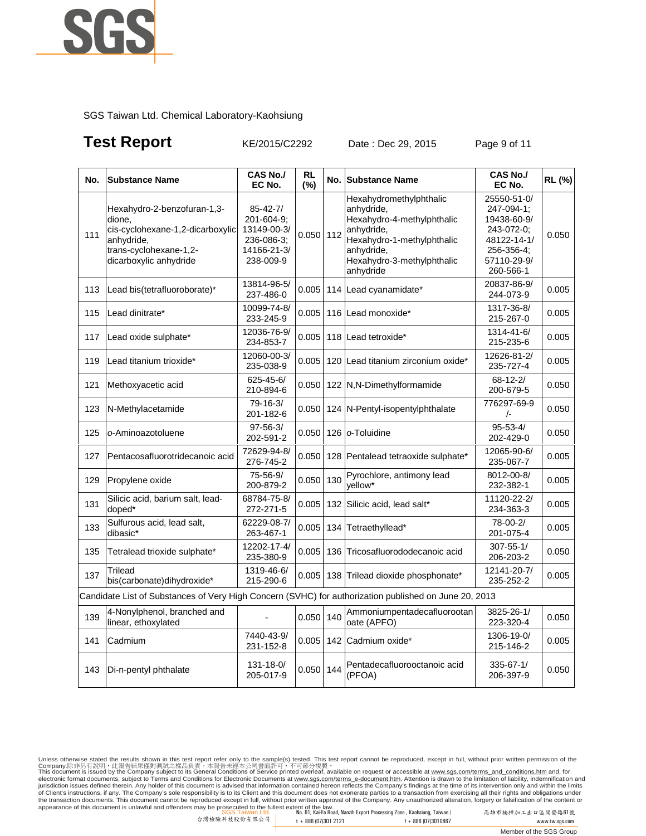

## **Test Report** KE/2015/C2292 Date : Dec 29, 2015 Page 9 of 11

| No. | <b>Substance Name</b>                                                                                                                       | CAS No./<br>EC No.                                                                    | <b>RL</b><br>(%) |     | No. Substance Name                                                                                                                                                       | CAS No./<br>EC No.                                                                                              | RL (%) |
|-----|---------------------------------------------------------------------------------------------------------------------------------------------|---------------------------------------------------------------------------------------|------------------|-----|--------------------------------------------------------------------------------------------------------------------------------------------------------------------------|-----------------------------------------------------------------------------------------------------------------|--------|
| 111 | Hexahydro-2-benzofuran-1,3-<br>dione.<br>cis-cyclohexane-1,2-dicarboxylic<br>anhydride,<br>trans-cyclohexane-1,2-<br>dicarboxylic anhydride | $85 - 42 - 7/$<br>201-604-9:<br>13149-00-3/<br>236-086-3;<br>14166-21-3/<br>238-009-9 | 0.050            | 112 | Hexahydromethylphthalic<br>anhydride,<br>Hexahydro-4-methylphthalic<br>anhydride,<br>Hexahydro-1-methylphthalic<br>anhydride,<br>Hexahydro-3-methylphthalic<br>anhydride | 25550-51-0/<br>247-094-1;<br>19438-60-9/<br>243-072-0;<br>48122-14-1/<br>256-356-4;<br>57110-29-9/<br>260-566-1 | 0.050  |
| 113 | Lead bis(tetrafluoroborate)*                                                                                                                | 13814-96-5/<br>237-486-0                                                              | 0.005            |     | 114 Lead cyanamidate*                                                                                                                                                    | 20837-86-9/<br>244-073-9                                                                                        | 0.005  |
| 115 | Lead dinitrate*                                                                                                                             | 10099-74-8/<br>233-245-9                                                              | 0.005            |     | 116 Lead monoxide*                                                                                                                                                       | 1317-36-8/<br>215-267-0                                                                                         | 0.005  |
| 117 | Lead oxide sulphate*                                                                                                                        | 12036-76-9/<br>234-853-7                                                              | 0.005            |     | 118 Lead tetroxide*                                                                                                                                                      | 1314-41-6/<br>215-235-6                                                                                         | 0.005  |
| 119 | Lead titanium trioxide*                                                                                                                     | 12060-00-3/<br>235-038-9                                                              | 0.005            |     | 120 Lead titanium zirconium oxide*                                                                                                                                       | 12626-81-2/<br>235-727-4                                                                                        | 0.005  |
| 121 | Methoxyacetic acid                                                                                                                          | 625-45-6/<br>210-894-6                                                                | 0.050            |     | 122 N,N-Dimethylformamide                                                                                                                                                | 68-12-2/<br>200-679-5                                                                                           | 0.050  |
| 123 | N-Methylacetamide                                                                                                                           | 79-16-3/<br>201-182-6                                                                 | 0.050            |     | 124 N-Pentyl-isopentylphthalate                                                                                                                                          | 776297-69-9<br>$\sqrt{-}$                                                                                       | 0.050  |
| 125 | o-Aminoazotoluene                                                                                                                           | $97 - 56 - 3/$<br>202-591-2                                                           | 0.050            |     | 126 o-Toluidine                                                                                                                                                          | $95 - 53 - 4/$<br>202-429-0                                                                                     | 0.050  |
| 127 | Pentacosafluorotridecanoic acid                                                                                                             | 72629-94-8/<br>276-745-2                                                              | 0.050            |     | 128 Pentalead tetraoxide sulphate*                                                                                                                                       | 12065-90-6/<br>235-067-7                                                                                        | 0.005  |
| 129 | Propylene oxide                                                                                                                             | 75-56-9/<br>200-879-2                                                                 | 0.050            | 130 | Pyrochlore, antimony lead<br>vellow*                                                                                                                                     | 8012-00-8/<br>232-382-1                                                                                         | 0.005  |
| 131 | Silicic acid, barium salt, lead-<br>doped*                                                                                                  | 68784-75-8/<br>272-271-5                                                              | 0.005            |     | 132 Silicic acid, lead salt*                                                                                                                                             | 11120-22-2/<br>234-363-3                                                                                        | 0.005  |
| 133 | Sulfurous acid, lead salt,<br>dibasic*                                                                                                      | 62229-08-7/<br>263-467-1                                                              | 0.005            | 134 | Tetraethyllead*                                                                                                                                                          | 78-00-2/<br>201-075-4                                                                                           | 0.005  |
| 135 | Tetralead trioxide sulphate*                                                                                                                | 12202-17-4/<br>235-380-9                                                              | 0.005            | 136 | Tricosafluorododecanoic acid                                                                                                                                             | $307 - 55 - 1/$<br>206-203-2                                                                                    | 0.050  |
| 137 | Trilead<br>bis(carbonate)dihydroxide*                                                                                                       | 1319-46-6/<br>215-290-6                                                               | 0.005            | 138 | Trilead dioxide phosphonate*                                                                                                                                             | 12141-20-7/<br>235-252-2                                                                                        | 0.005  |
|     | Candidate List of Substances of Very High Concern (SVHC) for authorization published on June 20, 2013                                       |                                                                                       |                  |     |                                                                                                                                                                          |                                                                                                                 |        |
| 139 | 4-Nonylphenol, branched and<br>linear, ethoxylated                                                                                          |                                                                                       | 0.050            | 140 | Ammoniumpentadecafluorootan<br>oate (APFO)                                                                                                                               | 3825-26-1/<br>223-320-4                                                                                         | 0.050  |
| 141 | Cadmium                                                                                                                                     | 7440-43-9/<br>231-152-8                                                               | 0.005            |     | 142 Cadmium oxide*                                                                                                                                                       | 1306-19-0/<br>215-146-2                                                                                         | 0.005  |
| 143 | Di-n-pentyl phthalate                                                                                                                       | 131-18-0/<br>205-017-9                                                                | 0.050            | 144 | Pentadecafluorooctanoic acid<br>(PFOA)                                                                                                                                   | 335-67-1/<br>206-397-9                                                                                          | 0.050  |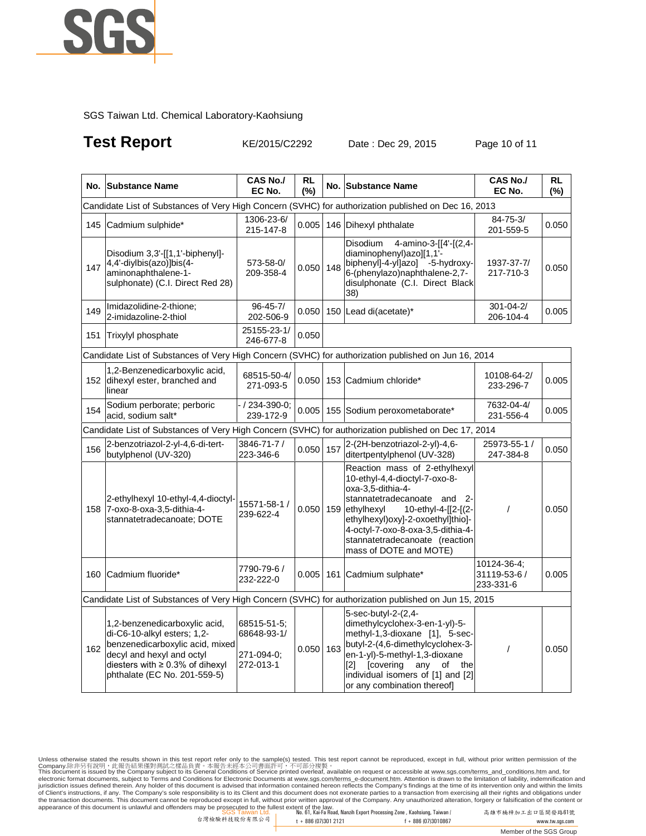

## **Test Report** KE/2015/C2292 Date : Dec 29, 2015 Page 10 of 11

|                                                                                                      | No. Substance Name                                                                                                                                                                                    | CAS No./<br>EC No.                                    | <b>RL</b><br>(%) |     | No. Substance Name                                                                                                                                                                                                                                                                                  | <b>CAS No./</b><br>EC No.                | RL<br>(%) |  |
|------------------------------------------------------------------------------------------------------|-------------------------------------------------------------------------------------------------------------------------------------------------------------------------------------------------------|-------------------------------------------------------|------------------|-----|-----------------------------------------------------------------------------------------------------------------------------------------------------------------------------------------------------------------------------------------------------------------------------------------------------|------------------------------------------|-----------|--|
|                                                                                                      | Candidate List of Substances of Very High Concern (SVHC) for authorization published on Dec 16, 2013                                                                                                  |                                                       |                  |     |                                                                                                                                                                                                                                                                                                     |                                          |           |  |
| 145                                                                                                  | Cadmium sulphide*                                                                                                                                                                                     | 1306-23-6/<br>215-147-8                               | 0.005            |     | 146 Dihexyl phthalate                                                                                                                                                                                                                                                                               | $84 - 75 - 3/$<br>201-559-5              | 0.050     |  |
| 147                                                                                                  | Disodium 3,3'-[[1,1'-biphenyl]-<br>4,4'-diylbis(azo)]bis(4-<br>aminonaphthalene-1-<br>sulphonate) (C.I. Direct Red 28)                                                                                | 573-58-0/<br>209-358-4                                | 0.050            | 148 | Disodium<br>4-amino-3-[[4'-[(2,4-<br>diaminophenyl)azo][1,1-<br>biphenyl]-4-yl]azo] -5-hydroxy-<br>6-(phenylazo)naphthalene-2,7-<br>disulphonate (C.I. Direct Black<br>38)                                                                                                                          | 1937-37-7/<br>217-710-3                  | 0.050     |  |
| 149                                                                                                  | Imidazolidine-2-thione;<br>2-imidazoline-2-thiol                                                                                                                                                      | $96 - 45 - 7/$<br>202-506-9                           |                  |     | $0.050$ 150 Lead di(acetate)*                                                                                                                                                                                                                                                                       | $301 - 04 - 2/$<br>206-104-4             | 0.005     |  |
| 151                                                                                                  | Trixylyl phosphate                                                                                                                                                                                    | 25155-23-1/<br>246-677-8                              | 0.050            |     |                                                                                                                                                                                                                                                                                                     |                                          |           |  |
| Candidate List of Substances of Very High Concern (SVHC) for authorization published on Jun 16, 2014 |                                                                                                                                                                                                       |                                                       |                  |     |                                                                                                                                                                                                                                                                                                     |                                          |           |  |
|                                                                                                      | 1,2-Benzenedicarboxylic acid,<br>152 dihexyl ester, branched and<br>linear                                                                                                                            | 68515-50-4/<br>271-093-5                              |                  |     | 0.050 153 Cadmium chloride*                                                                                                                                                                                                                                                                         | 10108-64-2/<br>233-296-7                 | 0.005     |  |
| 154                                                                                                  | Sodium perborate; perboric<br>acid, sodium salt*                                                                                                                                                      | / 234-390-0;<br>239-172-9                             |                  |     | 0.005   155   Sodium peroxometaborate*                                                                                                                                                                                                                                                              | 7632-04-4/<br>231-556-4                  | 0.005     |  |
|                                                                                                      | Candidate List of Substances of Very High Concern (SVHC) for authorization published on Dec 17, 2014                                                                                                  |                                                       |                  |     |                                                                                                                                                                                                                                                                                                     |                                          |           |  |
| 156                                                                                                  | 2-benzotriazol-2-yl-4,6-di-tert-<br>butylphenol (UV-320)                                                                                                                                              | 3846-71-7 /<br>223-346-6                              | 0.050            | 157 | 2-(2H-benzotriazol-2-yl)-4,6-<br>ditertpentylphenol (UV-328)                                                                                                                                                                                                                                        | 25973-55-1 /<br>247-384-8                | 0.050     |  |
|                                                                                                      | 2-ethylhexyl 10-ethyl-4,4-dioctyl-<br>158 7-oxo-8-oxa-3,5-dithia-4-<br>stannatetradecanoate; DOTE                                                                                                     | 15571-58-1 /<br>239-622-4                             | 0.050            | 159 | Reaction mass of 2-ethylhexyl<br>10-ethyl-4,4-dioctyl-7-oxo-8-<br>oxa-3.5-dithia-4-<br>stannatetradecanoate and<br>$2 -$<br>ethylhexyl<br>10-ethyl-4-[[2-[(2-<br>ethylhexyl)oxy]-2-oxoethyl]thio]-<br>4-octyl-7-oxo-8-oxa-3,5-dithia-4-<br>stannatetradecanoate (reaction<br>mass of DOTE and MOTE) | $\prime$                                 | 0.050     |  |
| 160                                                                                                  | Cadmium fluoride*                                                                                                                                                                                     | 7790-79-6/<br>232-222-0                               | $0.005$ 161      |     | Cadmium sulphate*                                                                                                                                                                                                                                                                                   | 10124-36-4;<br>31119-53-6 /<br>233-331-6 | 0.005     |  |
|                                                                                                      | Candidate List of Substances of Very High Concern (SVHC) for authorization published on Jun 15, 2015                                                                                                  |                                                       |                  |     |                                                                                                                                                                                                                                                                                                     |                                          |           |  |
| 162                                                                                                  | 1,2-benzenedicarboxylic acid,<br>di-C6-10-alkyl esters; 1,2-<br>benzenedicarboxylic acid, mixed<br>decyl and hexyl and octyl<br>diesters with $\geq 0.3\%$ of dihexyl<br>phthalate (EC No. 201-559-5) | 68515-51-5;<br>68648-93-1/<br>271-094-0;<br>272-013-1 | 0.050            | 163 | 5-sec-butyl-2-(2,4-<br>dimethylcyclohex-3-en-1-yl)-5-<br>methyl-1,3-dioxane [1], 5-sec-<br>butyl-2-(4,6-dimethylcyclohex-3-<br>en-1-yl)-5-methyl-1,3-dioxane<br>any<br>[2] [covering<br>of<br>the<br>individual isomers of [1] and [2]<br>or any combination thereof]                               | $\prime$                                 | 0.050     |  |

Unless otherwise stated the results shown in this test report refer only to the sample(s) test feport cannot be reproduced, except in full, without prior written permission of the<br>Company.陈非另有說明 · 此報告結果僅對測試之樣品負責。本報告未經本公司書 of Client's instructions, if any. The Company's sole responsibility is to its Client and this document does not exonerate parties to a transaction from exercising all their rights and obligations under<br>the transaction docu